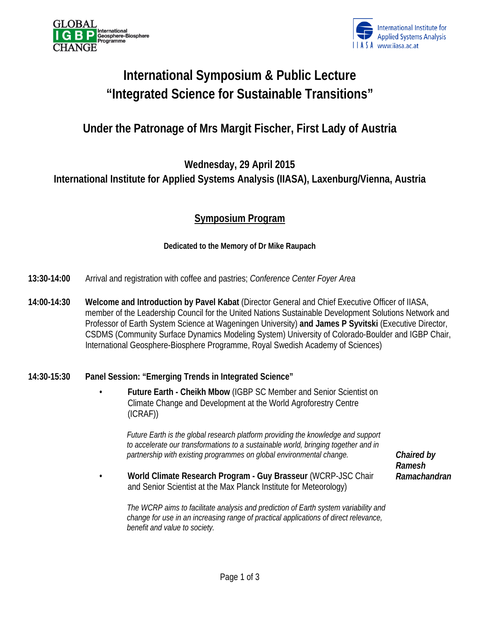



# **International Symposium & Public Lecture "Integrated Science for Sustainable Transitions"**

## **Under the Patronage of Mrs Margit Fischer, First Lady of Austria**

### **Wednesday, 29 April 2015 International Institute for Applied Systems Analysis (IIASA), Laxenburg/Vienna, Austria**

### **Symposium Program**

#### **Dedicated to the Memory of Dr Mike Raupach**

- **13:30-14:00** Arrival and registration with coffee and pastries; *Conference Center Foyer Area*
- **14:00-14:30 Welcome and Introduction by Pavel Kabat** (Director General and Chief Executive Officer of IIASA, member of the Leadership Council for the United Nations Sustainable Development Solutions Network and Professor of Earth System Science at Wageningen University) **and James P Syvitski** (Executive Director, CSDMS (Community Surface Dynamics Modeling System) University of Colorado-Boulder and IGBP Chair, International Geosphere-Biosphere Programme, Royal Swedish Academy of Sciences)

#### **14:30-15:30 Panel Session: "Emerging Trends in Integrated Science"**

• **Future Earth - Cheikh Mbow** (IGBP SC Member and Senior Scientist on Climate Change and Development at the World Agroforestry Centre (ICRAF))

*Future Earth is the global research platform providing the knowledge and support to accelerate our transformations to a sustainable world, bringing together and in partnership with existing programmes on global environmental change.* 

• **World Climate Research Program - Guy Brasseur** (WCRP-JSC Chair and Senior Scientist at the Max Planck Institute for Meteorology)

*The WCRP aims to facilitate analysis and prediction of Earth system variability and change for use in an increasing range of practical applications of direct relevance, benefit and value to society.* 

*Chaired by Ramesh Ramachandran*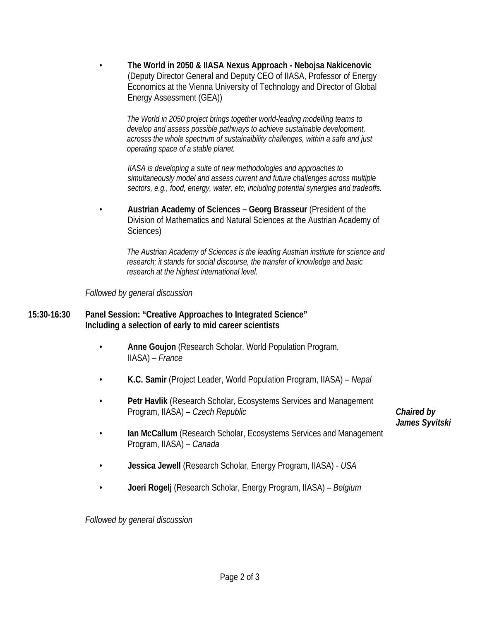• **The World in 2050 & IIASA Nexus Approach - Nebojsa Nakicenovic**  (Deputy Director General and Deputy CEO of IIASA, Professor of Energy Economics at the Vienna University of Technology and Director of Global Energy Assessment (GEA))

*The World in 2050 project brings together world-leading modelling teams to develop and assess possible pathways to achieve sustainable development, acrosss the whole spectrum of sustainaibility challenges, within a safe and just operating space of a stable planet.* 

*IIASA is developing a suite of new methodologies and approaches to simultaneously model and assess current and future challenges across multiple sectors, e.g., food, energy, water, etc, including potential synergies and tradeoffs.* 

• **Austrian Academy of Sciences – Georg Brasseur** (President of the Division of Mathematics and Natural Sciences at the Austrian Academy of Sciences)

*The Austrian Academy of Sciences is the leading Austrian institute for science and research; it stands for social discourse, the transfer of knowledge and basic research at the highest international level.* 

#### *Followed by general discussion*

#### **15:30-16:30 Panel Session: "Creative Approaches to Integrated Science" Including a selection of early to mid career scientists**

- **Anne Goujon** (Research Scholar, World Population Program, IIASA) – *France*
- **K.C. Samir** (Project Leader, World Population Program, IIASA) *Nepal*
- **Petr Havlik** (Research Scholar, Ecosystems Services and Management Program, IIASA) – *Czech Republic*

*Chaired by James Syvitski* 

- **Ian McCallum** (Research Scholar, Ecosystems Services and Management Program, IIASA) – *Canada*
- **Jessica Jewell** (Research Scholar, Energy Program, IIASA) *USA*
- **Joeri Rogelj** (Research Scholar, Energy Program, IIASA) *Belgium*

*Followed by general discussion*